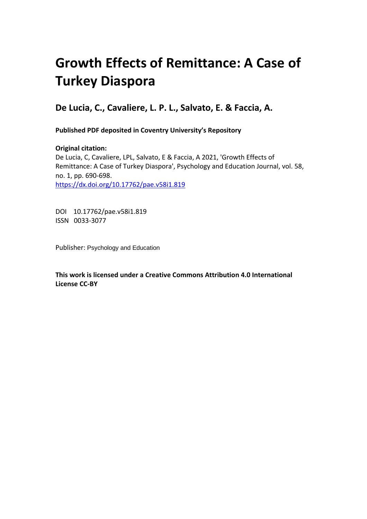# **Growth Effects of Remittance: A Case of Turkey Diaspora**

**De Lucia, C., Cavaliere, L. P. L., Salvato, E. & Faccia, A.** 

**Published PDF deposited in Coventry University's Repository** 

**Original citation:**  De Lucia, C, Cavaliere, LPL, Salvato, E & Faccia, A 2021, 'Growth Effects of Remittance: A Case of Turkey Diaspora', Psychology and Education Journal, vol. 58, no. 1, pp. 690-698. https://dx.doi.org/10.17762/pae.v58i1.819

 DOI 10.17762/pae.v58i1.819 ISSN 0033-3077

Publisher: Psychology and Education

**This work is licensed under a Creative Commons Attribution 4.0 International License CC-BY**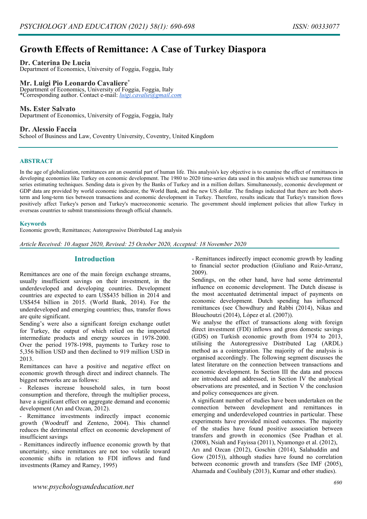# **Growth Effects of Remittance: A Case of Turkey Diaspora**

#### **Dr. Caterina De Lucia**

Department of Economics, University of Foggia, Foggia, Italy

# **Mr. Luigi Pio Leonardo Cavaliere\***

Department of Economics, University of Foggia, Foggia, Italy \*Corresponding author. Contact e-mail: *[luigi.cavalie@gmail.com](mailto:luigi.cavalie@gmail.com)*

#### **Ms. Ester Salvato**

Department of Economics, University of Foggia, Foggia, Italy

#### **Dr. Alessio Faccia**

School of Business and Law, Coventry University, Coventry, United Kingdom

#### **ABSTRACT**

In the age of globalization, remittances are an essential part of human life. This analysis's key objective is to examine the effect of remittances in developing economies like Turkey on economic development. The 1980 to 2020 time-series data used in this analysis which use numerous time series estimating techniques. Sending data is given by the Banks of Turkey and in a million dollars. Simultaneously, economic development or GDP data are provided by world economic indicator, the World Bank, and the new US dollar. The findings indicated that there are both shortterm and long-term ties between transactions and economic development in Turkey. Therefore, results indicate that Turkey's transition flows positively affect Turkey's person and Turkey's macroeconomic scenario. The government should implement policies that allow Turkey in overseas countries to submit transmissions through official channels.

#### **Keywords**

Economic growth; Remittances; Autoregressive Distributed Lag analysis

#### *Article Received: 10 August 2020, Revised: 25 October 2020, Accepted: 18 November 2020*

### **Introduction**

Remittances are one of the main foreign exchange streams, usually insufficient savings on their investment, in the underdeveloped and developing countries. Development countries are expected to earn US\$435 billion in 2014 and US\$454 billion in 2015. (World Bank, 2014). For the underdeveloped and emerging countries; thus, transfer flows are quite significant.

Sending's were also a significant foreign exchange outlet for Turkey, the output of which relied on the imported intermediate products and energy sources in 1978-2000. Over the period 1978-1998, payments to Turkey rose to 5,356 billion USD and then declined to 919 million USD in 2013.

Remittances can have a positive and negative effect on economic growth through direct and indirect channels. The biggest networks are as follows:

Releases increase household sales, in turn boost consumption and therefore, through the multiplier process, have a significant effect on aggregate demand and economic development (Arı and Ozcan, 2012).

- Remittance investments indirectly impact economic growth (Woodruff and Zenteno, 2004). This channel reduces the detrimental effect on economic development of insufficient savings

- Remittances indirectly influence economic growth by that uncertainty, since remittances are not too volatile toward economic shifts in relation to FDI inflows and fund investments (Ramey and Ramey, 1995)

- Remittances indirectly impact economic growth by leading to financial sector production (Giuliano and Ruiz-Arranz, 2009).

Sendings, on the other hand, have had some detrimental influence on economic development. The Dutch disease is the most accentuated detrimental impact of payments on economic development. Dutch spending has influenced remittances (see Chowdhury and Rabbi (2014), Nikas and Blouchoutzi (2014), López et al. (2007)).

We analyse the effect of transactions along with foreign direct investment (FDI) inflows and gross domestic savings (GDS) on Turkish economic growth from 1974 to 2013, utilising the Autoregressive Distributed Lag (ARDL) method as a cointegration. The majority of the analysis is organised accordingly. The following segment discusses the latest literature on the connection between transactions and economic development. In Section III the data and process are introduced and addressed, in Section IV the analytical observations are presented, and in Section V the conclusion and policy consequences are given.

A significant number of studies have been undertaken on the connection between development and remittances in emerging and underdeveloped countries in particular. These experiments have provided mixed outcomes. The majority of the studies have found positive association between transfers and growth in economics (See Pradhan et al. (2008), Nsiah and Fayissa (2011), Nyamongo et al. (2012), Arı and Ozcan (2012), Goschin (2014), Salahuddin and Gow (2015)), although studies have found no correlation between economic growth and transfers (See IMF (2005), Ahamada and Coulibaly (2013), Kumar and other studies).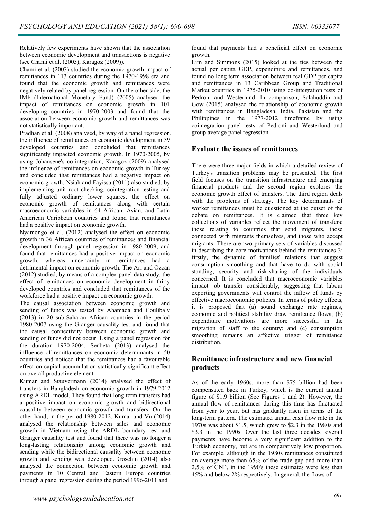Relatively few experiments have shown that the association between economic development and transactions is negative (see Chami et al. (2003), Karagoz (2009)).

Chami et al. (2003) studied the economic growth impact of remittances in 113 countries during the 1970-1998 era and found that the economic growth and remittances were negatively related by panel regression. On the other side, the IMF (International Monetary Fund) (2005) analysed the impact of remittances on economic growth in 101 developing countries in 1970-2003 and found that the association between economic growth and remittances was not statistically important.

Pradhan et al. (2008) analysed, by way of a panel regression, the influence of remittances on economic development in 39 developed countries and concluded that remittances significantly impacted economic growth. In 1970-2005, by using Johansene's co-integration, Karagoz (2009) analysed the influence of remittances on economic growth in Turkey and concluded that remittances had a negative impact on economic growth. Nsiah and Fayissa (2011) also studied, by implementing unit root checking, cointegration testing and fully adjusted ordinary lower squares, the effect on economic growth of remittances along with certain macroeconomic variables in 64 African, Asian, and Latin American Caribbean countries and found that remittances had a positive impact on economic growth.

Nyamongo et al. (2012) analysed the effect on economic growth in 36 African countries of remittances and financial development through panel regression in 1980-2009, and found that remittances had a positive impact on economic growth, whereas uncertainty in remittances had a detrimental impact on economic growth. The Arı and Ozcan (2012) studied, by means of a complex panel data study, the effect of remittances on economic development in thirty developed countries and concluded that remittances of the workforce had a positive impact on economic growth.

The causal association between economic growth and sending of funds was tested by Ahamada and Coulibaly (2013) in 20 sub-Saharan African countries in the period 1980-2007 using the Granger causality test and found that the causal connectivity between economic growth and sending of funds did not occur. Using a panel regression for the duration 1970-2004, Senbeta (2013) analysed the influence of remittances on economic determinants in 50 countries and noticed that the remittances had a favourable effect on capital accumulation statistically significant effect on overall productive element.

Kumar and Stauvermann (2014) analysed the effect of transfers in Bangladesh on economic growth in 1979-2012 using ARDL model. They found that long term transfers had a positive impact on economic growth and bidirectional causality between economic growth and transfers. On the other hand, in the period 1980-2012, Kumar and Vu (2014) analysed the relationship between sales and economic growth in Vietnam using the ARDL boundary test and Granger causality test and found that there was no longer a long-lasting relationship among economic growth and sending while the bidirectional causality between economic growth and sending was developed. Goschin (2014) also analysed the connection between economic growth and payments in 10 Central and Eastern Europe countries through a panel regression during the period 1996-2011 and

found that payments had a beneficial effect on economic growth.

Lim and Simmons (2015) looked at the ties between the actual per capita GDP, expenditure and remittances, and found no long term association between real GDP per capita and remittances in 13 Caribbean Group and Traditional Market countries in 1975-2010 using co-integration tests of Pedroni and Westerlund. In comparison, Salahuddin and Gow (2015) analysed the relationship of economic growth with remittances in Bangladesh, India, Pakistan and the Philippines in the 1977-2012 timeframe by using cointegration panel tests of Pedroni and Westerlund and group average panel regression.

# **Evaluate the issues of remittances**

There were three major fields in which a detailed review of Turkey's transition problems may be presented. The first field focuses on the transition infrastructure and emerging financial products and the second region explores the economic growth effect of transfers. The third region deals with the problems of strategy. The key determinants of worker remittances must be questioned at the outset of the debate on remittances. It is claimed that three key collections of variables reflect the movement of transfers: those relating to countries that send migrants, those connected with migrants themselves, and those who accept migrants. There are two primary sets of variables discussed in describing the core motivations behind the remittances 3: firstly, the dynamic of families' relations that suggest consumption smoothing and that have to do with social standing, security and risk-sharing of the individuals concerned. It is concluded that macroeconomic variables impact job transfer considerably, suggesting that labour exporting governments will control the inflow of funds by effective macroeconomic policies. In terms of policy effects, it is proposed that (a) sound exchange rate regimes, economic and political stability draw remittance flows; (b) expenditure motivations are more successful in the migration of staff to the country; and (c) consumption smoothing remains an affective trigger of remittance distribution.

# **Remittance infrastructure and new financial products**

As of the early 1960s, more than \$75 billion had been compensated back in Turkey, which is the current annual figure of \$1.9 billion (See Figures 1 and 2). However, the annual flow of remittances during this time has fluctuated from year to year, but has gradually risen in terms of the long-term pattern. The estimated annual cash flow rate in the 1970s was about \$1.5, which grew to \$2.3 in the 1980s and \$3.3 in the 1990s. Over the last three decades, overall payments have become a very significant addition to the Turkish economy, but are in comparatively low proportion. For example, although in the 1980s remittances constituted on average more than 65% of the trade gap and more than 2,5% of GNP, in the 1990's these estimates were less than 45% and below 2% respectively. In general, the flows of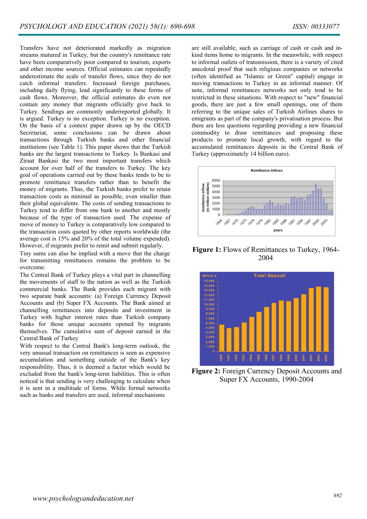Transfers have not deteriorated markedly as migration streams matured in Turkey, but the country's remittance rate have been comparatively poor compared to tourism, exports and other income sources. Official estimates can repeatedly underestimate the scale of transfer flows, since they do not catch informal transfers. Increased foreign purchases, including daily flying, lead significantly to these forms of cash flows. Moreover, the official estimates do even not contain any money that migrants officially give back to Turkey. Sendings are commonly underreported globally. It is argued. Turkey is no exception. Turkey is no exception. On the basis of a context paper drawn up by the OECD Secretariat, some conclusions can be drawn about transactions through Turkish banks and other financial institutions (see Table 1). This paper shows that the Turkish banks are the largest transactions to Turkey. Is Bankasi and Ziraat Bankasi the two most important transfers which account for over half of the transfers to Turkey. The key goal of operations carried out by these banks tends to be to promote remittance transfers rather than to benefit the money of migrants. Thus, the Turkish banks prefer to retain transaction costs as minimal as possible, even smaller than their global equivalents. The costs of sending transactions to Turkey tend to differ from one bank to another and mostly because of the type of transaction used. The expense of move of money to Turkey is comparatively low compared to the transaction costs quoted by other reports worldwide (the average cost is 15% and 20% of the total volume expended). However, if migrants prefer to remit and submit regularly.

Tiny sums can also be implied with a move that the charge for transmitting remittances remains the problem to be overcome.

The Central Bank of Turkey plays a vital part in channelling the movements of staff to the nation as well as the Turkish commercial banks. The Bank provides each migrant with two separate bank accounts: (a) Foreign Currency Deposit Accounts and (b) Super FX Accounts. The Bank aimed at channelling remittances into deposits and investment in Turkey with higher interest rates than Turkish company banks for those unique accounts opened by migrants themselves. The cumulative sum of deposit earned in the Central Bank of Turkey

With respect to the Central Bank's long-term outlook, the very unusual transaction on remittances is seen as expensive accumulation and something outside of the Bank's key responsibility. Thus, it is deemed a factor which would be excluded from the bank's long-term liabilities. This is often noticed is that sending is very challenging to calculate when it is sent in a multitude of forms. While formal networks such as banks and transfers are used, informal mechanisms

are still available, such as carriage of cash or cash and inkind items home to migrants. In the meanwhile, with respect to informal outlets of transmission, there is a variety of cited anecdotal proof that such religious companies or networks (often identified as "Islamic or Green" capital) engage in moving transactions to Turkey in an informal manner. Of note, informal remittances networks not only tend to be restricted in these situations. With respect to "new" financial goods, there are just a few small openings, one of them referring to the unique sales of Turkish Airlines shares to emigrants as part of the company's privatisation process. But there are less questions regarding providing a new financial commodity to draw remittances and proposing these products to promote local growth, with regard to the accumulated remittances deposits in the Central Bank of Turkey (approximately 14 billion euro).



**Figure 1:** Flows of Remittances to Turkey, 1964- 2004



**Figure 2:** Foreign Currency Deposit Accounts and Super FX Accounts, 1990-2004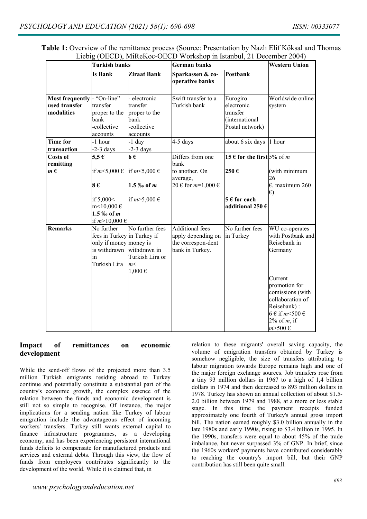|                                                       | <b>Turkish banks</b>                                                                                      |                                                                            | German banks                                                                   | Western Union                                                           |                                                                                                                                                                                        |
|-------------------------------------------------------|-----------------------------------------------------------------------------------------------------------|----------------------------------------------------------------------------|--------------------------------------------------------------------------------|-------------------------------------------------------------------------|----------------------------------------------------------------------------------------------------------------------------------------------------------------------------------------|
|                                                       | Is Bank                                                                                                   | Ziraat Bank                                                                | Sparkassen & co-<br>operative banks                                            | Postbank                                                                |                                                                                                                                                                                        |
| <b>Most frequently</b><br>used transfer<br>modalities | "On-line"<br>transfer<br>proper to the<br>bank<br>-collective<br>accounts                                 | electronic<br>transfer<br>proper to the<br>bank<br>-collective<br>accounts | Swift transfer to a<br>Turkish bank                                            | Eurogiro<br>electronic<br>transfer<br>(international<br>Postal network) | Worldwide online<br>system                                                                                                                                                             |
| <b>Time for</b><br>transaction                        | -1 hour<br>$-2-3$ days                                                                                    | -1 day<br>$-2-3$ days                                                      | $4-5$ days                                                                     | about 6 six days                                                        | $\ln$ hour                                                                                                                                                                             |
| Costs of<br>remitting                                 | 5,5 $€$                                                                                                   | 6€                                                                         | Differs from one<br>bank                                                       | 15 € for the first $5\%$ of m                                           |                                                                                                                                                                                        |
| $m \in$                                               | if $m<5,000 \in$<br>8€                                                                                    | if $m<$ 5,000 $\in$<br>$1.5\%$ of m                                        | to another. On<br>average,<br>20 € for $m=1,000 \in$                           | 250€                                                                    | (with minimum<br>26<br>$\epsilon$ , maximum 260<br>$\epsilon$                                                                                                                          |
|                                                       | if 5,000<<br>$m<10,000 \in$<br>1.5 ‰ of m<br>if $m > 10,000 \in$                                          | if $m>5,000 \in$                                                           |                                                                                | $5 \in$ for each<br>additional 250 $\epsilon$                           |                                                                                                                                                                                        |
| <b>Remarks</b>                                        | No further<br>fees in Turkey in Turkey if<br>only if money money is<br>is withdrawn<br>in<br>Turkish Lira | No further fees<br>withdrawn in<br>Turkish Lira or<br>m<<br>$1,000 \in$    | Additional fees<br>apply depending on<br>the correspon-dent<br>bank in Turkey. | No further fees<br>in Turkey                                            | WU co-operates<br>with Postbank and<br>Reisebank in<br>Germany<br>Current<br>promotion for<br>comissions (with<br>collaboration of<br>Reisebank):<br>$6 \in \text{if } m \leq 500 \in$ |
|                                                       |                                                                                                           |                                                                            |                                                                                |                                                                         | $2\%$ of m, if<br>$m > 500 \in$                                                                                                                                                        |

**Table 1:** Overview of the remittance process (Source: Presentation by Nazlı Elif Köksal and Thomas Liebig (OECD), MiReKoc-OECD Workshop in Istanbul, 21 December 2004)

# **Impact of remittances on economic development**

While the send-off flows of the projected more than 3.5 million Turkish emigrants residing abroad to Turkey continue and potentially constitute a substantial part of the country's economic growth, the complex essence of the relation between the funds and economic development is still not so simple to recognise. Of instance, the major implications for a sending nation like Turkey of labour emigration include the advantageous effect of incoming workers' transfers. Turkey still wants external capital to finance infrastructure programmes, as a developing economy, and has been experiencing persistent international funds deficits to compensate for manufactured products and services and external debts. Through this view, the flow of funds from employees contributes significantly to the development of the world. While it is claimed that, in

relation to these migrants' overall saving capacity, the volume of emigration transfers obtained by Turkey is somehow negligible, the size of transfers attributing to labour migration towards Europe remains high and one of the major foreign exchange sources. Job transfers rose from a tiny 93 million dollars in 1967 to a high of 1,4 billion dollars in 1974 and then decreased to 893 million dollars in 1978. Turkey has shown an annual collection of about \$1.5- 2.0 billion between 1979 and 1988, at a more or less stable stage. In this time the payment receipts funded approximately one fourth of Turkey's annual gross import bill. The nation earned roughly \$3.0 billion annually in the late 1980s and early 1990s, rising to \$3.4 billion in 1995. In the 1990s, transfers were equal to about 45% of the trade imbalance, but never surpassed 3% of GNP. In brief, since the 1960s workers' payments have contributed considerably to reaching the country's import bill, but their GNP contribution has still been quite small.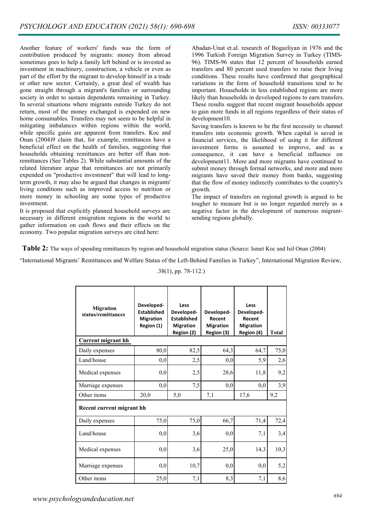Another feature of workers' funds was the form of contribution produced by migrants: money from abroad sometimes goes to help a family left behind or is invested as investment in machinery, construction, a vehicle or even as part of the effort by the migrant to develop himself in a trade or other new sector. Certainly, a great deal of wealth has gone straight through a migrant's families or surrounding society in order to sustain dependents remaining in Turkey. In several situations where migrants outside Turkey do not return, most of the money exchanged is expended on new home consumables. Transfers may not seem to be helpful in mitigating imbalances within regions within the world, while specific gains are apparent from transfers. Koc and Onan (2004)9 claim that, for example, remittances have a beneficial effect on the health of families, suggesting that households obtaining remittances are better off than nonremittances (See Tables 2). While substantial amounts of the related literature argue that remittances are not primarily expended on "productive investment" that will lead to longterm growth, it may also be argued that changes in migrants' living conditions such as improved access to nutrition or more money in schooling are some types of productive investment.

It is proposed that explicitly planned household surveys are necessary in different emigration regions in the world to gather information on cash flows and their effects on the economy. Two popular migration surveys are cited here:

Abadan-Unat et.al. research of Bogazliyan in 1976 and the 1996 Turkish Foreign Migration Survey in Turkey (TIMS-96). TIMS-96 states that 12 percent of households earned transfers and 80 percent used transfers to raise their living conditions. These results have confirmed that geographical variations in the form of household transitions tend to be important. Households in less established regions are more likely than households in developed regions to earn transfers. These results suggest that recent migrant households appear to gain more funds in all regions regardless of their status of development10.

Saving transfers is known to be the first necessity to channel transfers into economic growth. When capital is saved in financial services, the likelihood of using it for different investment forms is assumed to improve, and as a consequence, it can have a beneficial influence on development11. More and more migrants have continued to submit money through formal networks, and more and more migrants have saved their money from banks, suggesting that the flow of money indirectly contributes to the country's growth.

The impact of transfers on regional growth is argued to be tougher to measure but is no longer regarded merely as a negative factor in the development of numerous migrantsending regions globally.

**Table 2:** The ways of spending remittances by region and household migration status (Source: Ismet Koc and Isil Onan (2004)

"International Migrants' Remittances and Welfare Status of the Left-Behind Families in Turkey", International Migration Review,

.38(1), pp. 78-112.)

| <b>Migration</b><br>status/remittances | Developed-<br><b>Established</b><br><b>Migration</b><br>Region (1) | Less<br>Developed-<br><b>Established</b><br><b>Migration</b><br>Region (2) | Developed-<br>Recent<br><b>Migration</b><br>Region (3) | Less<br>Developed-<br>Recent<br><b>Migration</b><br>Region (4) | <b>Total</b> |  |  |  |
|----------------------------------------|--------------------------------------------------------------------|----------------------------------------------------------------------------|--------------------------------------------------------|----------------------------------------------------------------|--------------|--|--|--|
| <b>Current migrant hh</b>              |                                                                    |                                                                            |                                                        |                                                                |              |  |  |  |
| Daily expenses                         | 80,0                                                               | 82,5                                                                       | 64,3                                                   | 64,7                                                           | 75,0         |  |  |  |
| Land/house                             | 0,0                                                                | 2,5                                                                        | 0,0                                                    | 5,9                                                            | 2,6          |  |  |  |
| Medical expenses                       | 0,0                                                                | 2,5                                                                        | 28,6                                                   | 11,8                                                           | 9,2          |  |  |  |
| Marriage expenses                      | 0,0                                                                | 7,5                                                                        | 0,0                                                    | 0,0                                                            | 3,9          |  |  |  |
| Other items                            | 20,0                                                               | 5,0                                                                        | 7,1                                                    | 17,6                                                           | 9,2          |  |  |  |
| Recent current migrant hh              |                                                                    |                                                                            |                                                        |                                                                |              |  |  |  |
| Daily expenses                         | 75,0                                                               | 75,0                                                                       | 66,7                                                   | 71,4                                                           | 72,4         |  |  |  |
| Land/house                             | 0,0                                                                | 3,6                                                                        | 0,0                                                    | 7,1                                                            | 3,4          |  |  |  |
| Medical expenses                       | 0,0                                                                | 3,6                                                                        | 25,0                                                   | 14,3                                                           | 10,3         |  |  |  |
| Marriage expenses                      | 0,0                                                                | 10,7                                                                       | 0,0                                                    | 0,0                                                            | 5,2          |  |  |  |
| Other items                            | 25,0                                                               | 7,1                                                                        | 8,3                                                    | 7,1                                                            | 8,6          |  |  |  |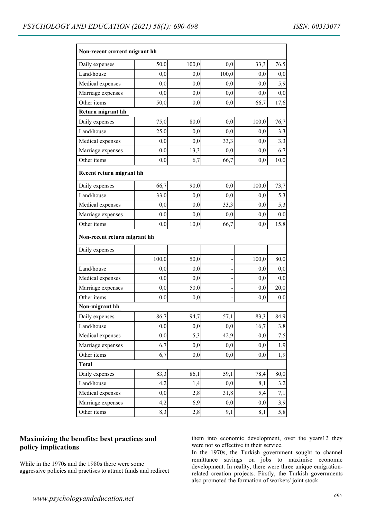| Non-recent current migrant hh |          |       |       |          |          |  |  |  |
|-------------------------------|----------|-------|-------|----------|----------|--|--|--|
| Daily expenses                | 50,0     | 100,0 | 0,0   | 33,3     | 76,5     |  |  |  |
| Land/house                    | 0,0      | 0,0   | 100,0 | 0,0      | 0,0      |  |  |  |
| Medical expenses              | 0,0      | 0,0   | 0,0   | 0,0      | 5,9      |  |  |  |
| Marriage expenses             | 0,0      | 0,0   | 0,0   | 0,0      | 0,0      |  |  |  |
| Other items                   | 50,0     | 0,0   | 0,0   | 66,7     | 17,6     |  |  |  |
| Return migrant hh             |          |       |       |          |          |  |  |  |
| Daily expenses                | 75,0     | 80,0  | 0,0   | 100,0    | 76,7     |  |  |  |
| Land/house                    | 25,0     | 0,0   | 0,0   | 0,0      | 3,3      |  |  |  |
| Medical expenses              | 0,0      | 0,0   | 33,3  | 0,0      | 3,3      |  |  |  |
| Marriage expenses             | 0,0      | 13,3  | 0,0   | 0,0      | 6,7      |  |  |  |
| Other items                   | 0,0      | 6,7   | 66,7  | 0,0      | 10,0     |  |  |  |
| Recent return migrant hh      |          |       |       |          |          |  |  |  |
| Daily expenses                | 66,7     | 90,0  | 0,0   | 100,0    | 73,7     |  |  |  |
| Land/house                    | 33,0     | 0,0   | 0,0   | 0,0      | 5,3      |  |  |  |
| Medical expenses              | 0,0      | 0,0   | 33,3  | 0,0      | 5,3      |  |  |  |
| Marriage expenses             | 0,0      | 0,0   | 0,0   | 0,0      | 0,0      |  |  |  |
| Other items                   | 0,0      | 10,0  | 66,7  | 0,0      | 15,8     |  |  |  |
| Non-recent return migrant hh  |          |       |       |          |          |  |  |  |
| Daily expenses                |          |       |       |          |          |  |  |  |
|                               | 100,0    | 50,0  |       | 100,0    | 80,0     |  |  |  |
| Land/house                    | 0,0      | 0,0   |       | 0,0      | $_{0,0}$ |  |  |  |
| Medical expenses              | 0,0      | 0,0   |       | 0,0      | 0,0      |  |  |  |
| Marriage expenses             | 0,0      | 50,0  |       | 0,0      | 20,0     |  |  |  |
| Other items                   | 0,0      | 0,0   |       | 0,0      | 0,0      |  |  |  |
| Non-migrant hh                |          |       |       |          |          |  |  |  |
| Daily expenses                | 86,7     | 94,7  | 57,1  | 83,3     | 84,9     |  |  |  |
| Land/house                    | 0,0      | 0,0   | 0,0   | 16,7     | 3,8      |  |  |  |
| Medical expenses              | $_{0,0}$ | 5,3   | 42,9  | 0,0      | 7,5      |  |  |  |
| Marriage expenses             | 6,7      | 0,0   | 0,0   | 0,0      | 1,9      |  |  |  |
| Other items                   | 6,7      | 0,0   | 0,0   | 0,0      | 1,9      |  |  |  |
| <b>Total</b>                  |          |       |       |          |          |  |  |  |
| Daily expenses                | 83,3     | 86,1  | 59,1  | 78,4     | 80,0     |  |  |  |
| Land/house                    | 4,2      | 1,4   | 0,0   | 8,1      | 3,2      |  |  |  |
| Medical expenses              | 0,0      | 2,8   | 31,8  | 5,4      | 7,1      |  |  |  |
| Marriage expenses             | 4,2      | 6,9   | 0,0   | $_{0,0}$ | 3,9      |  |  |  |
| Other items                   | 8,3      | 2,8   | 9,1   | 8,1      | 5,8      |  |  |  |

# **Maximizing the benefits: best practices and policy implications**

While in the 1970s and the 1980s there were some aggressive policies and practises to attract funds and redirect

them into economic development, over the years12 they were not so effective in their service.

In the 1970s, the Turkish government sought to channel remittance savings on jobs to maximise economic development. In reality, there were three unique emigrationrelated creation projects. Firstly, the Turkish governments also promoted the formation of workers' joint stock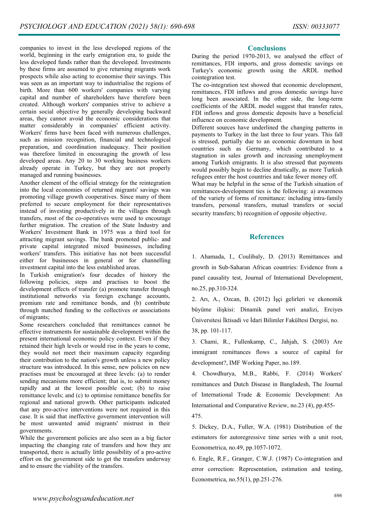companies to invest in the less developed regions of the world, beginning in the early emigration era, to guide the less developed funds rather than the developed. Investments by these firms are assumed to give returning migrants work prospects while also acting to economise their savings. This was seen as an important way to industrialise the regions of birth. More than 600 workers' companies with varying capital and number of shareholders have therefore been created. Although workers' companies strive to achieve a certain social objective by generally developing backward areas, they cannot avoid the economic considerations that matter considerably in companies' efficient activity. Workers' firms have been faced with numerous challenges, such as mission recognition, financial and technological preparation, and coordination inadequacy. Their position was therefore limited in encouraging the growth of less developed areas. Any 20 to 30 working business workers already operate in Turkey, but they are not properly managed and running businesses.

Another element of the official strategy for the reintegration into the local economies of returned migrants' savings was promoting village growth cooperatives. Since many of them preferred to secure employment for their representatives instead of investing productively in the villages through transfers, most of the co-operatives were used to encourage further migration. The creation of the State Industry and Workers' Investment Bank in 1975 was a third tool for attracting migrant savings. The bank promoted public- and private capital integrated mixed businesses, including workers' transfers. This initiative has not been successful either for businesses in general or for channelling investment capital into the less established areas.

In Turkish emigration's four decades of history the following policies, steps and practises to boost the development effects of transfer (a) promote transfer through institutional networks via foreign exchange accounts, premium rate and remittance bonds, and (b) contribute through matched funding to the collectives or associations of migrants;

Some researchers concluded that remittances cannot be effective instruments for sustainable development within the present international economic policy context. Even if they retained their high levels or would rise in the years to come, they would not meet their maximum capacity regarding their contribution to the nation's growth unless a new policy structure was introduced. In this sense, new policies on new practises must be encouraged at three levels: (a) to render sending mecanisms more efficient; that is, to submit money rapidly and at the lowest possible cost; (b) to raise remittance levels; and (c) to optimise remittance benefits for regional and national growth. Other participants indicated that any pro-active interventions were not required in this case. It is said that ineffective government intervention will be most unwanted amid migrants' mistrust in their governments.

While the government policies are also seen as a big factor impacting the changing rate of transfers and how they are transported, there is actually little possibility of a pro-active effort on the government side to get the transfers underway and to ensure the viability of the transfers.

### **Conclusions**

During the period 1970-2013, we analysed the effect of remittances, FDI imports, and gross domestic savings on Turkey's economic growth using the ARDL method cointegration test.

The co-integration test showed that economic development, remittances, FDI inflows and gross domestic savings have long been associated. In the other side, the long-term coefficients of the ARDL model suggest that transfer rates, FDI inflows and gross domestic deposits have a beneficial influence on economic development.

Different sources have underlined the changing patterns in payments to Turkey in the last three to four years. This fall is stressed, partially due to an economic downturn in host countries such as Germany, which contributed to a stagnation in sales growth and increasing unemployment among Turkish emigrants. It is also stressed that payments would possibly begin to decline drastically, as more Turkish refugees enter the host countries and take fewer money off.

What may be helpful in the sense of the Turkish situation of remittances-development ties is the following: a) awareness of the variety of forms of remittance: including intra-family transfers, personal transfers, mutual transfers or social security transfers; b) recognition of opposite objective.

# **References**

1. Ahamada, I., Coulibaly, D. (2013) Remittances and growth in Sub-Saharan African countries: Evidence from a panel causality test, Journal of International Development, no.25, pp.310-324.

2. Arı, A., Ozcan, B. (2012) İşçi gelirleri ve ekonomik büyüme ilişkisi: Dinamik panel veri analizi, Erciyes Üniversitesi İktisadi ve İdari Bilimler Fakültesi Dergisi, no.

38, pp. 101-117.

3. Chami, R., Fullenkamp, C., Jahjah, S. (2003) Are immigrant remittances flows a source of capital for development?, IMF Working Paper, no.189.

4. Chowdhurya, M.B., Rabbi, F. (2014) Workers' remittances and Dutch Disease in Bangladesh, The Journal of International Trade & Economic Development: An International and Comparative Review, no.23 (4), pp.455-

475.

5. Dickey, D.A., Fuller, W.A. (1981) Distribution of the estimators for autoregressive time series with a unit root, Econometrica, no.49, pp.1057-1072.

6. Engle, R.F., Granger, C.W.J. (1987) Co-integration and error correction: Representation, estimation and testing, Econometrica, no.55(1), pp.251-276.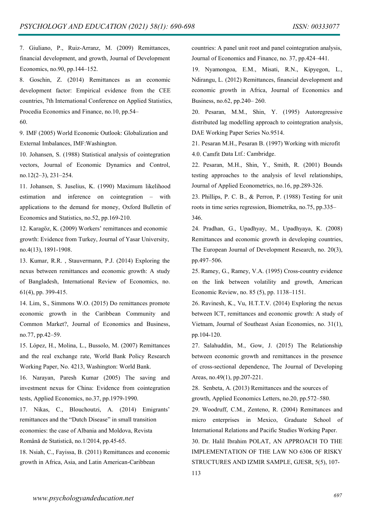7. Giuliano, P., Ruiz-Arranz, M. (2009) Remittances, financial development, and growth, Journal of Development Economics, no.90, pp.144–152.

8. Goschin, Z. (2014) Remittances as an economic development factor: Empirical evidence from the CEE countries, 7th International Conference on Applied Statistics, Procedia Economics and Finance, no.10, pp.54–

60.

9. IMF (2005) World Economic Outlook: Globalization and External Imbalances, IMF:Washington.

10. Johansen, S. (1988) Statistical analysis of cointegration vectors, Journal of Economic Dynamics and Control, no.12(2–3), 231–254.

11. Johansen, S. Juselius, K. (1990) Maximum likelihood estimation and inference on cointegration – with applications to the demand for money, Oxford Bulletin of Economics and Statistics, no.52, pp.169-210.

12. Karagöz, K. (2009) Workers' remittances and economic growth: Evidence from Turkey, Journal of Yasar University, no.4(13), 1891-1908.

13. Kumar, R.R. , Stauvermann, P.J. (2014) Exploring the nexus between remittances and economic growth: A study of Bangladesh, International Review of Economics, no. 61(4), pp. 399-415.

14. Lim, S., Simmons W.O. (2015) Do remittances promote economic growth in the Caribbean Community and Common Market?, Journal of Economics and Business, no.77, pp.42–59.

15. López, H., Molina, L., Bussolo, M. (2007) Remittances and the real exchange rate, World Bank Policy Research Working Paper, No. 4213, Washington: World Bank.

16. Narayan, Paresh Kumar (2005) The saving and investment nexus for China: Evidence from cointegration tests, Applied Economics, no.37, pp.1979-1990.

17. Nikas, C., Blouchoutzi, A. (2014) Emigrants' remittances and the "Dutch Disease" in small transition economies: the case of Albania and Moldova, Revista

Română de Statistică, no.1/2014, pp.45-65.

18. Nsiah, C., Fayissa, B. (2011) Remittances and economic growth in Africa, Asia, and Latin American-Caribbean

countries: A panel unit root and panel cointegration analysis, Journal of Economics and Finance, no. 37, pp.424–441.

19. Nyamongoa, E.M., Misati, R.N., Kipyegon, L., Ndirangu, L. (2012) Remittances, financial development and economic growth in Africa, Journal of Economics and Business, no.62, pp.240– 260.

20. Pesaran, M.M., Shin, Y. (1995) Autoregressive distributed lag modelling approach to cointegration analysis, DAE Working Paper Series No.9514.

21. Pesaran M.H., Pesaran B. (1997) Working with microfit 4.0. Camfit Data Ltf.: Cambridge.

22. Pesaran, M.H., Shin, Y., Smith, R. (2001) Bounds testing approaches to the analysis of level relationships, Journal of Applied Econometrics, no.16, pp.289-326.

23. Phillips, P. C. B., & Perron, P. (1988) Testing for unit roots in time series regression, Biometrika, no.75, pp.335– 346.

24. Pradhan, G., Upadhyay, M., Upadhyaya, K. (2008) Remittances and economic growth in developing countries, The European Journal of Development Research, no. 20(3), pp.497–506.

25. Ramey, G., Ramey, V.A. (1995) Cross-country evidence on the link between volatility and growth, American Economic Review, no. 85 (5), pp. 1138–1151.

26. Ravinesh, K., Vu, H.T.T.V. (2014) Exploring the nexus between ICT, remittances and economic growth: A study of Vietnam, Journal of Southeast Asian Economies, no. 31(1), pp.104-120.

27. Salahuddin, M., Gow, J. (2015) The Relationship between economic growth and remittances in the presence of cross-sectional dependence, The Journal of Developing Areas, no.49(1), pp.207-221.

28. Senbeta, A. (2013) Remittances and the sources of

growth, Applied Economics Letters, no.20, pp.572–580. 29. Woodruff, C.M., Zenteno, R. (2004) Remittances and

micro enterprises in Mexico, Graduate School of International Relations and Pacific Studies Working Paper.

30. Dr. Halil Ibrahim POLAT, AN APPROACH TO THE IMPLEMENTATION OF THE LAW NO 6306 OF RISKY STRUCTURES AND IZMIR SAMPLE, GJESR, 5(5), 107- 113